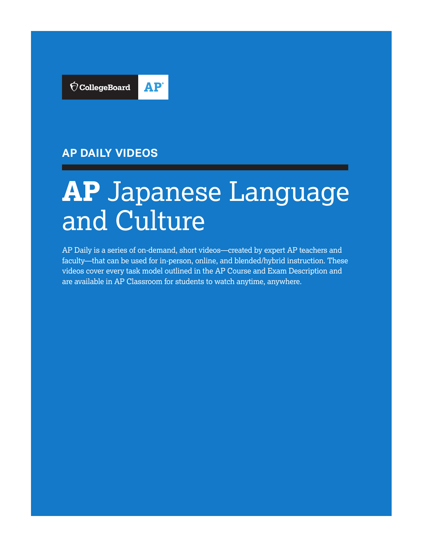

# **AP DAILY VIDEOS**

# **AP** Japanese Language and Culture

AP Daily is a series of on-demand, short videos—created by expert AP teachers and faculty—that can be used for in-person, online, and blended/hybrid instruction. These videos cover every task model outlined in the AP Course and Exam Description and are available in AP Classroom for students to watch anytime, anywhere.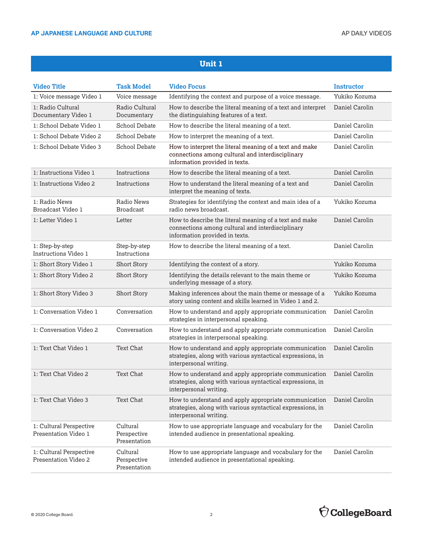| <b>Video Title</b>                              | <b>Task Model</b>                       | <b>Video Focus</b>                                                                                                                            | <b>Instructor</b> |
|-------------------------------------------------|-----------------------------------------|-----------------------------------------------------------------------------------------------------------------------------------------------|-------------------|
| 1: Voice message Video 1                        | Voice message                           | Identifying the context and purpose of a voice message.                                                                                       | Yukiko Kozuma     |
| 1: Radio Cultural<br>Documentary Video 1        | Radio Cultural<br>Documentary           | How to describe the literal meaning of a text and interpret<br>the distinguishing features of a text.                                         | Daniel Carolin    |
| 1: School Debate Video 1                        | School Debate                           | How to describe the literal meaning of a text.                                                                                                | Daniel Carolin    |
| 1: School Debate Video 2                        | School Debate                           | How to interpret the meaning of a text.                                                                                                       | Daniel Carolin    |
| 1: School Debate Video 3                        | School Debate                           | How to interpret the literal meaning of a text and make<br>connections among cultural and interdisciplinary<br>information provided in texts. | Daniel Carolin    |
| 1: Instructions Video 1                         | Instructions                            | How to describe the literal meaning of a text.                                                                                                | Daniel Carolin    |
| 1: Instructions Video 2                         | Instructions                            | How to understand the literal meaning of a text and<br>interpret the meaning of texts.                                                        | Daniel Carolin    |
| 1: Radio News<br>Broadcast Video 1              | Radio News<br><b>Broadcast</b>          | Strategies for identifying the context and main idea of a<br>radio news broadcast.                                                            | Yukiko Kozuma     |
| 1: Letter Video 1                               | Letter                                  | How to describe the literal meaning of a text and make<br>connections among cultural and interdisciplinary<br>information provided in texts.  | Daniel Carolin    |
| 1: Step-by-step<br>Instructions Video 1         | Step-by-step<br>Instructions            | How to describe the literal meaning of a text.                                                                                                | Daniel Carolin    |
| 1: Short Story Video 1                          | <b>Short Story</b>                      | Identifying the context of a story.                                                                                                           | Yukiko Kozuma     |
| 1: Short Story Video 2                          | <b>Short Story</b>                      | Identifying the details relevant to the main theme or<br>underlying message of a story.                                                       | Yukiko Kozuma     |
| 1: Short Story Video 3                          | Short Story                             | Making inferences about the main theme or message of a<br>story using content and skills learned in Video 1 and 2.                            | Yukiko Kozuma     |
| 1: Conversation Video 1                         | Conversation                            | How to understand and apply appropriate communication<br>strategies in interpersonal speaking.                                                | Daniel Carolin    |
| 1: Conversation Video 2                         | Conversation                            | How to understand and apply appropriate communication<br>strategies in interpersonal speaking.                                                | Daniel Carolin    |
| 1: Text Chat Video 1                            | <b>Text Chat</b>                        | How to understand and apply appropriate communication<br>strategies, along with various syntactical expressions, in<br>interpersonal writing. | Daniel Carolin    |
| 1: Text Chat Video 2                            | <b>Text Chat</b>                        | How to understand and apply appropriate communication<br>strategies, along with various syntactical expressions, in<br>interpersonal writing. | Daniel Carolin    |
| 1: Text Chat Video 3                            | <b>Text Chat</b>                        | How to understand and apply appropriate communication<br>strategies, along with various syntactical expressions, in<br>interpersonal writing. | Daniel Carolin    |
| 1: Cultural Perspective<br>Presentation Video 1 | Cultural<br>Perspective<br>Presentation | How to use appropriate language and vocabulary for the<br>intended audience in presentational speaking.                                       | Daniel Carolin    |
| 1: Cultural Perspective<br>Presentation Video 2 | Cultural<br>Perspective<br>Presentation | How to use appropriate language and vocabulary for the<br>intended audience in presentational speaking.                                       | Daniel Carolin    |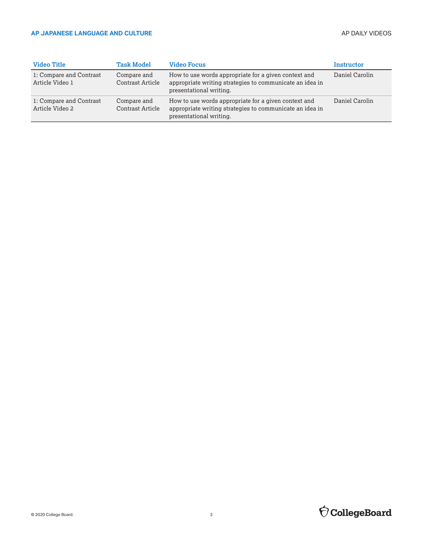| <b>Video Title</b>                         | <b>Task Model</b>               | <b>Video Focus</b>                                                                                                                          | Instructor     |
|--------------------------------------------|---------------------------------|---------------------------------------------------------------------------------------------------------------------------------------------|----------------|
| 1: Compare and Contrast<br>Article Video 1 | Compare and<br>Contrast Article | How to use words appropriate for a given context and<br>appropriate writing strategies to communicate an idea in<br>presentational writing. | Daniel Carolin |
| 1: Compare and Contrast<br>Article Video 2 | Compare and<br>Contrast Article | How to use words appropriate for a given context and<br>appropriate writing strategies to communicate an idea in<br>presentational writing. | Daniel Carolin |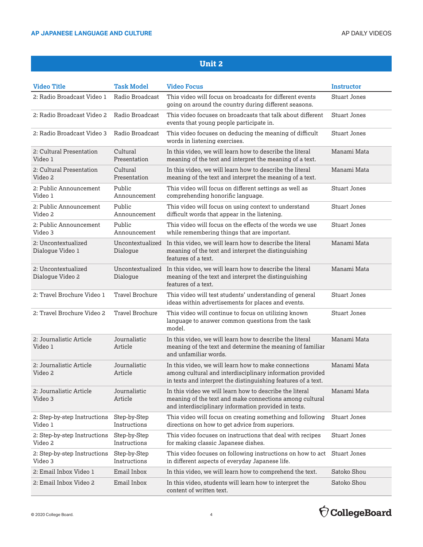| <b>Video Title</b>                      | <b>Task Model</b>            | <b>Video Focus</b>                                                                                                                                                                 | Instructor          |
|-----------------------------------------|------------------------------|------------------------------------------------------------------------------------------------------------------------------------------------------------------------------------|---------------------|
| 2: Radio Broadcast Video 1              | Radio Broadcast              | This video will focus on broadcasts for different events<br>going on around the country during different seasons.                                                                  | <b>Stuart Jones</b> |
| 2: Radio Broadcast Video 2              | Radio Broadcast              | This video focuses on broadcasts that talk about different<br>events that young people participate in.                                                                             | <b>Stuart Jones</b> |
| 2: Radio Broadcast Video 3              | Radio Broadcast              | This video focuses on deducing the meaning of difficult<br>words in listening exercises.                                                                                           | <b>Stuart Jones</b> |
| 2: Cultural Presentation<br>Video 1     | Cultural<br>Presentation     | In this video, we will learn how to describe the literal<br>meaning of the text and interpret the meaning of a text.                                                               | Manami Mata         |
| 2: Cultural Presentation<br>Video 2     | Cultural<br>Presentation     | In this video, we will learn how to describe the literal<br>meaning of the text and interpret the meaning of a text.                                                               | Manami Mata         |
| 2: Public Announcement<br>Video 1       | Public<br>Announcement       | This video will focus on different settings as well as<br>comprehending honorific language.                                                                                        | <b>Stuart Jones</b> |
| 2: Public Announcement<br>Video 2       | Public<br>Announcement       | This video will focus on using context to understand<br>difficult words that appear in the listening.                                                                              | <b>Stuart Jones</b> |
| 2: Public Announcement<br>Video 3       | Public<br>Announcement       | This video will focus on the effects of the words we use<br>while remembering things that are important.                                                                           | <b>Stuart Jones</b> |
| 2: Uncontextualized<br>Dialogue Video 1 | Uncontextualized<br>Dialogue | In this video, we will learn how to describe the literal<br>meaning of the text and interpret the distinguishing<br>features of a text.                                            | Manami Mata         |
| 2: Uncontextualized<br>Dialogue Video 2 | Uncontextualized<br>Dialogue | In this video, we will learn how to describe the literal<br>meaning of the text and interpret the distinguishing<br>features of a text.                                            | Manami Mata         |
| 2: Travel Brochure Video 1              | Travel Brochure              | This video will test students' understanding of general<br>ideas within advertisements for places and events.                                                                      | <b>Stuart Jones</b> |
| 2: Travel Brochure Video 2              | <b>Travel Brochure</b>       | This video will continue to focus on utilizing known<br>language to answer common questions from the task<br>model.                                                                | <b>Stuart Jones</b> |
| 2: Journalistic Article<br>Video 1      | Journalistic<br>Article      | In this video, we will learn how to describe the literal<br>meaning of the text and determine the meaning of familiar<br>and unfamiliar words.                                     | Manami Mata         |
| 2: Journalistic Article<br>Video 2      | Journalistic<br>Article      | In this video, we will learn how to make connections<br>among cultural and interdisciplinary information provided<br>in texts and interpret the distinguishing features of a text. | Manami Mata         |
| 2: Journalistic Article<br>Video 3      | Journalistic<br>Article      | In this video we will learn how to describe the literal<br>meaning of the text and make connections among cultural<br>and interdisciplinary information provided in texts.         | Manami Mata         |
| 2: Step-by-step Instructions<br>Video 1 | Step-by-Step<br>Instructions | This video will focus on creating something and following<br>directions on how to get advice from superiors.                                                                       | <b>Stuart Jones</b> |
| 2: Step-by-step Instructions<br>Video 2 | Step-by-Step<br>Instructions | This video focuses on instructions that deal with recipes<br>for making classic Japanese dishes.                                                                                   | <b>Stuart Jones</b> |
| 2: Step-by-step Instructions<br>Video 3 | Step-by-Step<br>Instructions | This video focuses on following instructions on how to act<br>in different aspects of everyday Japanese life.                                                                      | <b>Stuart Jones</b> |
| 2: Email Inbox Video 1                  | Email Inbox                  | In this video, we will learn how to comprehend the text.                                                                                                                           | Satoko Shou         |
| 2: Email Inbox Video 2                  | Email Inbox                  | In this video, students will learn how to interpret the<br>content of written text.                                                                                                | Satoko Shou         |



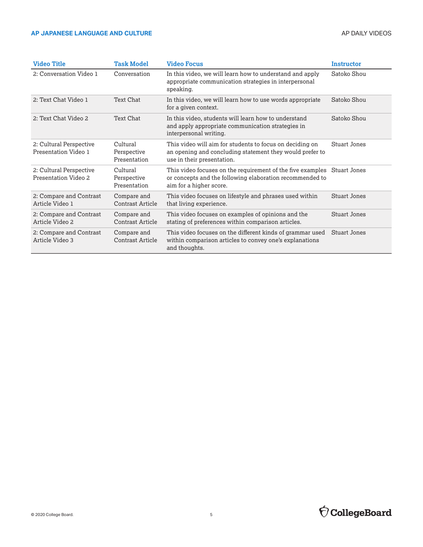| <b>Video Title</b>                              | <b>Task Model</b>                       | <b>Video Focus</b>                                                                                                                                             | <b>Instructor</b>   |
|-------------------------------------------------|-----------------------------------------|----------------------------------------------------------------------------------------------------------------------------------------------------------------|---------------------|
| 2: Conversation Video 1                         | Conversation                            | In this video, we will learn how to understand and apply<br>appropriate communication strategies in interpersonal<br>speaking.                                 | Satoko Shou         |
| 2: Text Chat Video 1                            | Text Chat                               | In this video, we will learn how to use words appropriate<br>for a given context.                                                                              | Satoko Shou         |
| 2: Text Chat Video 2                            | Text Chat                               | In this video, students will learn how to understand<br>and apply appropriate communication strategies in<br>interpersonal writing.                            | Satoko Shou         |
| 2: Cultural Perspective<br>Presentation Video 1 | Cultural<br>Perspective<br>Presentation | This video will aim for students to focus on deciding on<br>an opening and concluding statement they would prefer to<br>use in their presentation.             | <b>Stuart Jones</b> |
| 2: Cultural Perspective<br>Presentation Video 2 | Cultural<br>Perspective<br>Presentation | This video focuses on the requirement of the five examples Stuart Jones<br>or concepts and the following elaboration recommended to<br>aim for a higher score. |                     |
| 2: Compare and Contrast<br>Article Video 1      | Compare and<br>Contrast Article         | This video focuses on lifestyle and phrases used within<br>that living experience.                                                                             | <b>Stuart Jones</b> |
| 2: Compare and Contrast<br>Article Video 2      | Compare and<br>Contrast Article         | This video focuses on examples of opinions and the<br>stating of preferences within comparison articles.                                                       | <b>Stuart Jones</b> |
| 2: Compare and Contrast<br>Article Video 3      | Compare and<br>Contrast Article         | This video focuses on the different kinds of grammar used<br>within comparison articles to convey one's explanations<br>and thoughts.                          | <b>Stuart Jones</b> |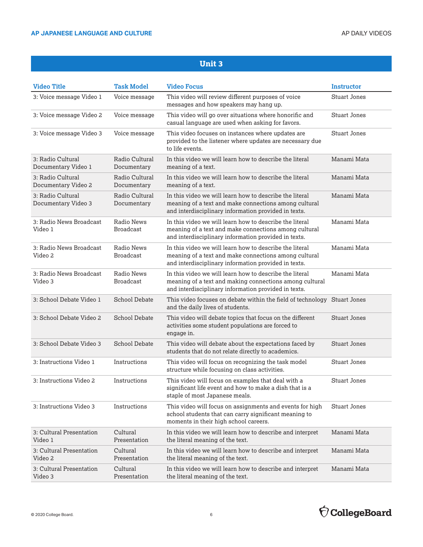| <b>Video Title</b>                       | <b>Task Model</b>              | <b>Video Focus</b>                                                                                                                                                         | <b>Instructor</b>   |
|------------------------------------------|--------------------------------|----------------------------------------------------------------------------------------------------------------------------------------------------------------------------|---------------------|
| 3: Voice message Video 1                 | Voice message                  | This video will review different purposes of voice<br>messages and how speakers may hang up.                                                                               | <b>Stuart Jones</b> |
| 3: Voice message Video 2                 | Voice message                  | This video will go over situations where honorific and<br>casual language are used when asking for favors.                                                                 | <b>Stuart Jones</b> |
| 3: Voice message Video 3                 | Voice message                  | This video focuses on instances where updates are<br>provided to the listener where updates are necessary due<br>to life events.                                           | <b>Stuart Jones</b> |
| 3: Radio Cultural<br>Documentary Video 1 | Radio Cultural<br>Documentary  | In this video we will learn how to describe the literal<br>meaning of a text.                                                                                              | Manami Mata         |
| 3: Radio Cultural<br>Documentary Video 2 | Radio Cultural<br>Documentary  | In this video we will learn how to describe the literal<br>meaning of a text.                                                                                              | Manami Mata         |
| 3: Radio Cultural<br>Documentary Video 3 | Radio Cultural<br>Documentary  | In this video we will learn how to describe the literal<br>meaning of a text and make connections among cultural<br>and interdisciplinary information provided in texts.   | Manami Mata         |
| 3: Radio News Broadcast<br>Video 1       | Radio News<br><b>Broadcast</b> | In this video we will learn how to describe the literal<br>meaning of a text and make connections among cultural<br>and interdisciplinary information provided in texts.   | Manami Mata         |
| 3: Radio News Broadcast<br>Video 2       | Radio News<br><b>Broadcast</b> | In this video we will learn how to describe the literal<br>meaning of a text and make connections among cultural<br>and interdisciplinary information provided in texts.   | Manami Mata         |
| 3: Radio News Broadcast<br>Video 3       | Radio News<br><b>Broadcast</b> | In this video we will learn how to describe the literal<br>meaning of a text and making connections among cultural<br>and interdisciplinary information provided in texts. | Manami Mata         |
| 3: School Debate Video 1                 | <b>School Debate</b>           | This video focuses on debate within the field of technology Stuart Jones<br>and the daily lives of students.                                                               |                     |
| 3: School Debate Video 2                 | <b>School Debate</b>           | This video will debate topics that focus on the different<br>activities some student populations are forced to<br>engage in.                                               | <b>Stuart Jones</b> |
| 3: School Debate Video 3                 | School Debate                  | This video will debate about the expectations faced by<br>students that do not relate directly to academics.                                                               | <b>Stuart Jones</b> |
| 3: Instructions Video 1                  | Instructions                   | This video will focus on recognizing the task model<br>structure while focusing on class activities.                                                                       | <b>Stuart Jones</b> |
| 3: Instructions Video 2                  | Instructions                   | This video will focus on examples that deal with a<br>significant life event and how to make a dish that is a<br>staple of most Japanese meals.                            | <b>Stuart Jones</b> |
| 3: Instructions Video 3                  | Instructions                   | This video will focus on assignments and events for high<br>school students that can carry significant meaning to<br>moments in their high school careers.                 | <b>Stuart Jones</b> |
| 3: Cultural Presentation<br>Video 1      | Cultural<br>Presentation       | In this video we will learn how to describe and interpret<br>the literal meaning of the text.                                                                              | Manami Mata         |
| 3: Cultural Presentation<br>Video 2      | Cultural<br>Presentation       | In this video we will learn how to describe and interpret<br>the literal meaning of the text.                                                                              | Manami Mata         |
| 3: Cultural Presentation<br>Video 3      | Cultural<br>Presentation       | In this video we will learn how to describe and interpret<br>the literal meaning of the text.                                                                              | Manami Mata         |

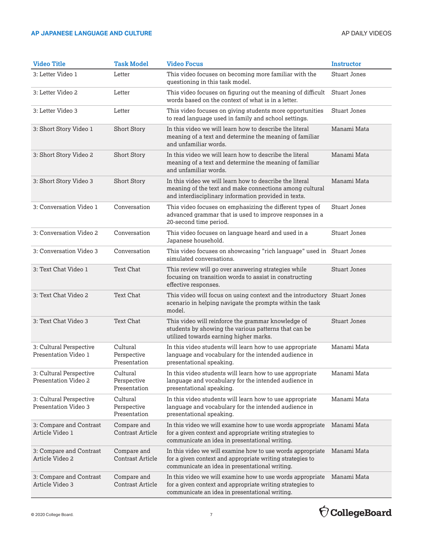| <b>Video Title</b>                                     | <b>Task Model</b>                       | <b>Video Focus</b>                                                                                                                                                         | <b>Instructor</b>   |
|--------------------------------------------------------|-----------------------------------------|----------------------------------------------------------------------------------------------------------------------------------------------------------------------------|---------------------|
| 3: Letter Video 1                                      | Letter                                  | This video focuses on becoming more familiar with the<br>questioning in this task model.                                                                                   | <b>Stuart Jones</b> |
| 3: Letter Video 2                                      | Letter                                  | This video focuses on figuring out the meaning of difficult<br>words based on the context of what is in a letter.                                                          | <b>Stuart Jones</b> |
| 3: Letter Video 3                                      | Letter                                  | This video focuses on giving students more opportunities<br>to read language used in family and school settings.                                                           | <b>Stuart Jones</b> |
| 3: Short Story Video 1                                 | <b>Short Story</b>                      | In this video we will learn how to describe the literal<br>meaning of a text and determine the meaning of familiar<br>and unfamiliar words.                                | Manami Mata         |
| 3: Short Story Video 2                                 | Short Story                             | In this video we will learn how to describe the literal<br>meaning of a text and determine the meaning of familiar<br>and unfamiliar words.                                | Manami Mata         |
| 3: Short Story Video 3                                 | <b>Short Story</b>                      | In this video we will learn how to describe the literal<br>meaning of the text and make connections among cultural<br>and interdisciplinary information provided in texts. | Manami Mata         |
| 3: Conversation Video 1                                | Conversation                            | This video focuses on emphasizing the different types of<br>advanced grammar that is used to improve responses in a<br>20-second time period.                              | <b>Stuart Jones</b> |
| 3: Conversation Video 2                                | Conversation                            | This video focuses on language heard and used in a<br>Japanese household.                                                                                                  | <b>Stuart Jones</b> |
| 3: Conversation Video 3                                | Conversation                            | This video focuses on showcasing "rich language" used in Stuart Jones<br>simulated conversations.                                                                          |                     |
| 3: Text Chat Video 1                                   | <b>Text Chat</b>                        | This review will go over answering strategies while<br>focusing on transition words to assist in constructing<br>effective responses.                                      | <b>Stuart Jones</b> |
| 3: Text Chat Video 2                                   | <b>Text Chat</b>                        | This video will focus on using context and the introductory Stuart Jones<br>scenario in helping navigate the prompts within the task<br>model.                             |                     |
| 3: Text Chat Video 3                                   | <b>Text Chat</b>                        | This video will reinforce the grammar knowledge of<br>students by showing the various patterns that can be<br>utilized towards earning higher marks.                       | <b>Stuart Jones</b> |
| 3: Cultural Perspective<br>Presentation Video 1        | Cultural<br>Perspective<br>Presentation | In this video students will learn how to use appropriate<br>language and vocabulary for the intended audience in<br>presentational speaking.                               | Manami Mata         |
| 3: Cultural Perspective<br><b>Presentation Video 2</b> | Cultural<br>Perspective<br>Presentation | In this video students will learn how to use appropriate<br>language and vocabulary for the intended audience in<br>presentational speaking.                               | Manami Mata         |
| 3: Cultural Perspective<br>Presentation Video 3        | Cultural<br>Perspective<br>Presentation | In this video students will learn how to use appropriate<br>language and vocabulary for the intended audience in<br>presentational speaking.                               | Manami Mata         |
| 3: Compare and Contrast<br>Article Video 1             | Compare and<br><b>Contrast Article</b>  | In this video we will examine how to use words appropriate<br>for a given context and appropriate writing strategies to<br>communicate an idea in presentational writing.  | Manami Mata         |
| 3: Compare and Contrast<br>Article Video 2             | Compare and<br><b>Contrast Article</b>  | In this video we will examine how to use words appropriate<br>for a given context and appropriate writing strategies to<br>communicate an idea in presentational writing.  | Manami Mata         |
| 3: Compare and Contrast<br>Article Video 3             | Compare and<br><b>Contrast Article</b>  | In this video we will examine how to use words appropriate<br>for a given context and appropriate writing strategies to<br>communicate an idea in presentational writing.  | Manami Mata         |

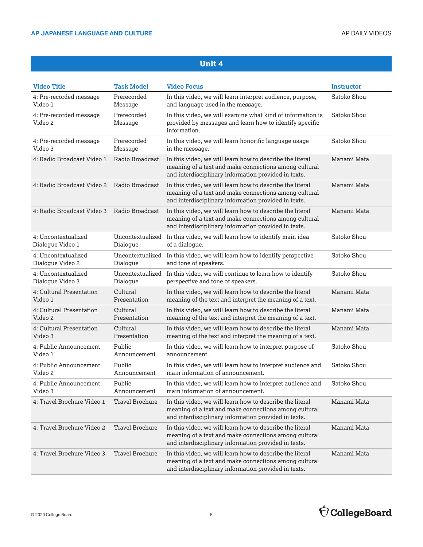| <b>Video Title</b>                 | <b>Task Model</b>      | <b>Video Focus</b>                                                                                                                                                        | Instructor  |
|------------------------------------|------------------------|---------------------------------------------------------------------------------------------------------------------------------------------------------------------------|-------------|
| 4: Pre-recorded message            | Prerecorded            | In this video, we will learn interpret audience, purpose,                                                                                                                 | Satoko Shou |
| Video 1                            | Message                | and language used in the message.                                                                                                                                         |             |
| 4: Pre-recorded message<br>Video 2 | Prerecorded<br>Message | In this video, we will examine what kind of information is<br>provided by messages and learn how to identify specific<br>information.                                     | Satoko Shou |
| 4: Pre-recorded message            | Prerecorded            | In this video, we will learn honorific language usage                                                                                                                     | Satoko Shou |
| Video 3                            | Message                | in the message.                                                                                                                                                           |             |
| 4: Radio Broadcast Video 1         | Radio Broadcast        | In this video, we will learn how to describe the literal<br>meaning of a text and make connections among cultural<br>and interdisciplinary information provided in texts. | Manami Mata |
| 4: Radio Broadcast Video 2         | Radio Broadcast        | In this video, we will learn how to describe the literal<br>meaning of a text and make connections among cultural<br>and interdisciplinary information provided in texts. | Manami Mata |
| 4: Radio Broadcast Video 3         | Radio Broadcast        | In this video, we will learn how to describe the literal<br>meaning of a text and make connections among cultural<br>and interdisciplinary information provided in texts. | Manami Mata |
| 4: Uncontextualized                | Uncontextualized       | In this video, we will learn how to identify main idea                                                                                                                    | Satoko Shou |
| Dialogue Video 1                   | Dialogue               | of a dialogue.                                                                                                                                                            |             |
| 4: Uncontextualized                | Uncontextualized       | In this video, we will learn how to identify perspective                                                                                                                  | Satoko Shou |
| Dialogue Video 2                   | Dialogue               | and tone of speakers.                                                                                                                                                     |             |
| 4: Uncontextualized                | Uncontextualized       | In this video, we will continue to learn how to identify                                                                                                                  | Satoko Shou |
| Dialogue Video 3                   | Dialogue               | perspective and tone of speakers.                                                                                                                                         |             |
| 4: Cultural Presentation           | Cultural               | In this video, we will learn how to describe the literal                                                                                                                  | Manami Mata |
| Video 1                            | Presentation           | meaning of the text and interpret the meaning of a text.                                                                                                                  |             |
| 4: Cultural Presentation           | Cultural               | In this video, we will learn how to describe the literal                                                                                                                  | Manami Mata |
| Video 2                            | Presentation           | meaning of the text and interpret the meaning of a text.                                                                                                                  |             |
| 4: Cultural Presentation           | Cultural               | In this video, we will learn how to describe the literal                                                                                                                  | Manami Mata |
| Video 3                            | Presentation           | meaning of the text and interpret the meaning of a text.                                                                                                                  |             |
| 4: Public Announcement             | Public                 | In this video, we will learn how to interpret purpose of                                                                                                                  | Satoko Shou |
| Video 1                            | Announcement           | announcement.                                                                                                                                                             |             |
| 4: Public Announcement             | Public                 | In this video, we will learn how to interpret audience and                                                                                                                | Satoko Shou |
| Video 2                            | Announcement           | main information of announcement.                                                                                                                                         |             |
| 4: Public Announcement             | Public                 | In this video, we will learn how to interpret audience and                                                                                                                | Satoko Shou |
| Video 3                            | Announcement           | main information of announcement.                                                                                                                                         |             |
| 4: Travel Brochure Video 1         | Travel Brochure        | In this video, we will learn how to describe the literal<br>meaning of a text and make connections among cultural<br>and interdisciplinary information provided in texts. | Manami Mata |
| 4: Travel Brochure Video 2         | <b>Travel Brochure</b> | In this video, we will learn how to describe the literal<br>meaning of a text and make connections among cultural<br>and interdisciplinary information provided in texts. | Manami Mata |
| 4: Travel Brochure Video 3         | <b>Travel Brochure</b> | In this video, we will learn how to describe the literal<br>meaning of a text and make connections among cultural<br>and interdisciplinary information provided in texts. | Manami Mata |

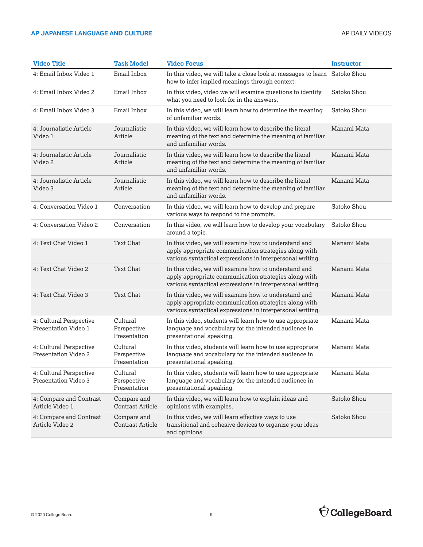| <b>Video Title</b>                              | <b>Task Model</b>                       | <b>Video Focus</b>                                                                                                                                                         | Instructor  |
|-------------------------------------------------|-----------------------------------------|----------------------------------------------------------------------------------------------------------------------------------------------------------------------------|-------------|
| 4: Email Inbox Video 1                          | Email Inbox                             | In this video, we will take a close look at messages to learn Satoko Shou<br>how to infer implied meanings through context.                                                |             |
| 4: Email Inbox Video 2                          | Email Inbox                             | In this video, video we will examine questions to identify<br>what you need to look for in the answers.                                                                    | Satoko Shou |
| 4: Email Inbox Video 3                          | Email Inbox                             | In this video, we will learn how to determine the meaning<br>of unfamiliar words.                                                                                          | Satoko Shou |
| 4: Journalistic Article<br>Video 1              | Journalistic<br>Article                 | In this video, we will learn how to describe the literal<br>meaning of the text and determine the meaning of familiar<br>and unfamiliar words.                             | Manami Mata |
| 4: Journalistic Article<br>Video 2              | Journalistic<br>Article                 | In this video, we will learn how to describe the literal<br>meaning of the text and determine the meaning of familiar<br>and unfamiliar words.                             | Manami Mata |
| 4: Journalistic Article<br>Video 3              | Journalistic<br>Article                 | In this video, we will learn how to describe the literal<br>meaning of the text and determine the meaning of familiar<br>and unfamiliar words.                             | Manami Mata |
| 4: Conversation Video 1                         | Conversation                            | In this video, we will learn how to develop and prepare<br>various ways to respond to the prompts.                                                                         | Satoko Shou |
| 4: Conversation Video 2                         | Conversation                            | In this video, we will learn how to develop your vocabulary<br>around a topic.                                                                                             | Satoko Shou |
| 4: Text Chat Video 1                            | <b>Text Chat</b>                        | In this video, we will examine how to understand and<br>apply appropriate communication strategies along with<br>various syntactical expressions in interpersonal writing. | Manami Mata |
| 4: Text Chat Video 2                            | Text Chat                               | In this video, we will examine how to understand and<br>apply appropriate communication strategies along with<br>various syntactical expressions in interpersonal writing. | Manami Mata |
| 4: Text Chat Video 3                            | Text Chat                               | In this video, we will examine how to understand and<br>apply appropriate communication strategies along with<br>various syntactical expressions in interpersonal writing. | Manami Mata |
| 4: Cultural Perspective<br>Presentation Video 1 | Cultural<br>Perspective<br>Presentation | In this video, students will learn how to use appropriate<br>language and vocabulary for the intended audience in<br>presentational speaking.                              | Manami Mata |
| 4: Cultural Perspective<br>Presentation Video 2 | Cultural<br>Perspective<br>Presentation | In this video, students will learn how to use appropriate<br>language and vocabulary for the intended audience in<br>presentational speaking.                              | Manami Mata |
| 4: Cultural Perspective<br>Presentation Video 3 | Cultural<br>Perspective<br>Presentation | In this video, students will learn how to use appropriate<br>language and vocabulary for the intended audience in<br>presentational speaking.                              | Manami Mata |
| 4: Compare and Contrast<br>Article Video 1      | Compare and<br><b>Contrast Article</b>  | In this video, we will learn how to explain ideas and<br>opinions with examples.                                                                                           | Satoko Shou |
| 4: Compare and Contrast<br>Article Video 2      | Compare and<br><b>Contrast Article</b>  | In this video, we will learn effective ways to use<br>transitional and cohesive devices to organize your ideas<br>and opinions.                                            | Satoko Shou |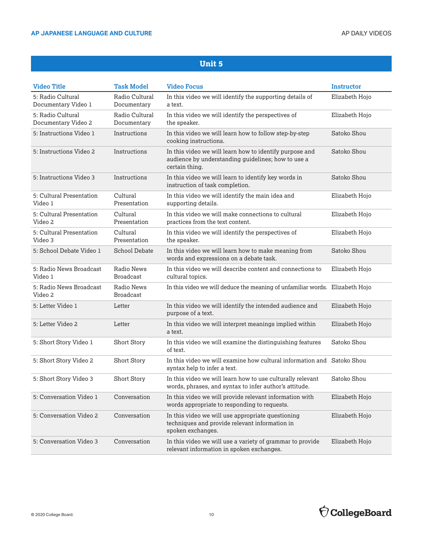| <b>Video Title</b>                       | <b>Task Model</b>              | <b>Video Focus</b>                                                                                                              | <b>Instructor</b> |
|------------------------------------------|--------------------------------|---------------------------------------------------------------------------------------------------------------------------------|-------------------|
| 5: Radio Cultural<br>Documentary Video 1 | Radio Cultural<br>Documentary  | In this video we will identify the supporting details of<br>a text.                                                             | Elizabeth Hojo    |
| 5: Radio Cultural<br>Documentary Video 2 | Radio Cultural<br>Documentary  | In this video we will identify the perspectives of<br>the speaker.                                                              | Elizabeth Hojo    |
| 5: Instructions Video 1                  | Instructions                   | In this video we will learn how to follow step-by-step<br>cooking instructions.                                                 | Satoko Shou       |
| 5: Instructions Video 2                  | Instructions                   | In this video we will learn how to identify purpose and<br>audience by understanding guidelines; how to use a<br>certain thing. | Satoko Shou       |
| 5: Instructions Video 3                  | Instructions                   | In this video we will learn to identify key words in<br>instruction of task completion.                                         | Satoko Shou       |
| 5: Cultural Presentation<br>Video 1      | Cultural<br>Presentation       | In this video we will identify the main idea and<br>supporting details.                                                         | Elizabeth Hojo    |
| 5: Cultural Presentation<br>Video 2      | Cultural<br>Presentation       | In this video we will make connections to cultural<br>practices from the text content.                                          | Elizabeth Hojo    |
| 5: Cultural Presentation<br>Video 3      | Cultural<br>Presentation       | In this video we will identify the perspectives of<br>the speaker.                                                              | Elizabeth Hojo    |
| 5: School Debate Video 1                 | School Debate                  | In this video we will learn how to make meaning from<br>words and expressions on a debate task.                                 | Satoko Shou       |
| 5: Radio News Broadcast<br>Video 1       | Radio News<br><b>Broadcast</b> | In this video we will describe content and connections to<br>cultural topics.                                                   | Elizabeth Hojo    |
| 5: Radio News Broadcast<br>Video 2       | Radio News<br><b>Broadcast</b> | In this video we will deduce the meaning of unfamiliar words. Elizabeth Hojo                                                    |                   |
| 5: Letter Video 1                        | Letter                         | In this video we will identify the intended audience and<br>purpose of a text.                                                  | Elizabeth Hojo    |
| 5: Letter Video 2                        | Letter                         | In this video we will interpret meanings implied within<br>a text.                                                              | Elizabeth Hojo    |
| 5: Short Story Video 1                   | <b>Short Story</b>             | In this video we will examine the distinguishing features<br>of text.                                                           | Satoko Shou       |
| 5: Short Story Video 2                   | <b>Short Story</b>             | In this video we will examine how cultural information and Satoko Shou<br>syntax help to infer a text.                          |                   |
| 5: Short Story Video 3                   | <b>Short Story</b>             | In this video we will learn how to use culturally relevant<br>words, phrases, and syntax to infer author's attitude.            | Satoko Shou       |
| 5: Conversation Video 1                  | Conversation                   | In this video we will provide relevant information with<br>words appropriate to responding to requests.                         | Elizabeth Hojo    |
| 5: Conversation Video 2                  | Conversation                   | In this video we will use appropriate questioning<br>techniques and provide relevant information in<br>spoken exchanges.        | Elizabeth Hojo    |
| 5: Conversation Video 3                  | Conversation                   | In this video we will use a variety of grammar to provide<br>relevant information in spoken exchanges.                          | Elizabeth Hojo    |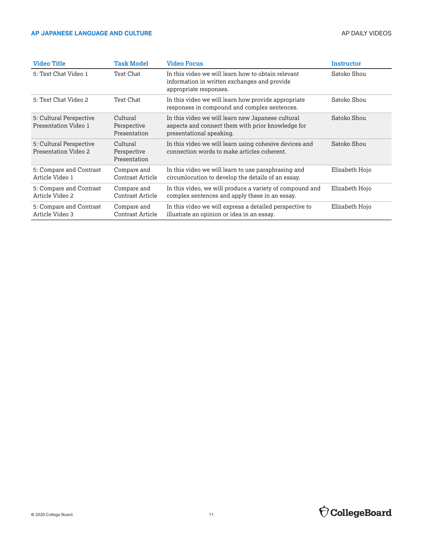| <b>Video Title</b>                              | <b>Task Model</b>                       | <b>Video Focus</b>                                                                                                                 | Instructor     |
|-------------------------------------------------|-----------------------------------------|------------------------------------------------------------------------------------------------------------------------------------|----------------|
| 5: Text Chat Video 1                            | Text Chat                               | In this video we will learn how to obtain relevant<br>information in written exchanges and provide<br>appropriate responses.       | Satoko Shou    |
| 5: Text Chat Video 2                            | Text Chat                               | In this video we will learn how provide appropriate<br>responses in compound and complex sentences.                                | Satoko Shou    |
| 5: Cultural Perspective<br>Presentation Video 1 | Cultural<br>Perspective<br>Presentation | In this video we will learn new Japanese cultural<br>aspects and connect them with prior knowledge for<br>presentational speaking. | Satoko Shou    |
| 5: Cultural Perspective<br>Presentation Video 2 | Cultural<br>Perspective<br>Presentation | In this video we will learn using cohesive devices and<br>connection words to make articles coherent.                              | Satoko Shou    |
| 5: Compare and Contrast<br>Article Video 1      | Compare and<br>Contrast Article         | In this video we will learn to use paraphrasing and<br>circumlocution to develop the details of an essay.                          | Elizabeth Hojo |
| 5: Compare and Contrast<br>Article Video 2      | Compare and<br>Contrast Article         | In this video, we will produce a variety of compound and<br>complex sentences and apply these in an essay.                         | Elizabeth Hojo |
| 5: Compare and Contrast<br>Article Video 3      | Compare and<br>Contrast Article         | In this video we will express a detailed perspective to<br>illustrate an opinion or idea in an essay.                              | Elizabeth Hojo |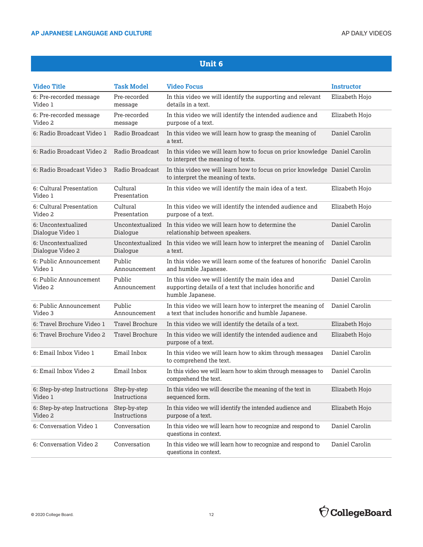| <b>Video Title</b>                                   | <b>Task Model</b>            | <b>Video Focus</b>                                                                                                               | <b>Instructor</b> |
|------------------------------------------------------|------------------------------|----------------------------------------------------------------------------------------------------------------------------------|-------------------|
| 6: Pre-recorded message<br>Video 1                   | Pre-recorded<br>message      | In this video we will identify the supporting and relevant<br>details in a text.                                                 | Elizabeth Hojo    |
| 6: Pre-recorded message<br>Video 2                   | Pre-recorded<br>message      | In this video we will identify the intended audience and<br>purpose of a text.                                                   | Elizabeth Hojo    |
| 6: Radio Broadcast Video 1                           | Radio Broadcast              | In this video we will learn how to grasp the meaning of<br>a text.                                                               | Daniel Carolin    |
| 6: Radio Broadcast Video 2                           | Radio Broadcast              | In this video we will learn how to focus on prior knowledge Daniel Carolin<br>to interpret the meaning of texts.                 |                   |
| 6: Radio Broadcast Video 3                           | Radio Broadcast              | In this video we will learn how to focus on prior knowledge Daniel Carolin<br>to interpret the meaning of texts.                 |                   |
| 6: Cultural Presentation<br>Video 1                  | Cultural<br>Presentation     | In this video we will identify the main idea of a text.                                                                          | Elizabeth Hojo    |
| 6: Cultural Presentation<br>Video 2                  | Cultural<br>Presentation     | In this video we will identify the intended audience and<br>purpose of a text.                                                   | Elizabeth Hojo    |
| 6: Uncontextualized<br>Dialogue Video 1              | Dialogue                     | Uncontextualized In this video we will learn how to determine the<br>relationship between speakers.                              | Daniel Carolin    |
| 6: Uncontextualized<br>Dialogue Video 2              | Uncontextualized<br>Dialogue | In this video we will learn how to interpret the meaning of<br>a text.                                                           | Daniel Carolin    |
| 6: Public Announcement<br>Video 1                    | Public<br>Announcement       | In this video we will learn some of the features of honorific Daniel Carolin<br>and humble Japanese.                             |                   |
| 6: Public Announcement<br>Video 2                    | Public<br>Announcement       | In this video we will identify the main idea and<br>supporting details of a text that includes honorific and<br>humble Japanese. | Daniel Carolin    |
| 6: Public Announcement<br>Video 3                    | Public<br>Announcement       | In this video we will learn how to interpret the meaning of<br>a text that includes honorific and humble Japanese.               | Daniel Carolin    |
| 6: Travel Brochure Video 1                           | Travel Brochure              | In this video we will identify the details of a text.                                                                            | Elizabeth Hojo    |
| 6: Travel Brochure Video 2                           | Travel Brochure              | In this video we will identify the intended audience and<br>purpose of a text.                                                   | Elizabeth Hojo    |
| 6: Email Inbox Video 1                               | Email Inbox                  | In this video we will learn how to skim through messages<br>to comprehend the text.                                              | Daniel Carolin    |
| 6: Email Inbox Video 2                               | Email Inbox                  | In this video we will learn how to skim through messages to<br>comprehend the text.                                              | Daniel Carolin    |
| 6: Step-by-step Instructions Step-by-step<br>Video 1 | Instructions                 | In this video we will describe the meaning of the text in<br>sequenced form.                                                     | Elizabeth Hojo    |
| 6: Step-by-step Instructions<br>Video 2              | Step-by-step<br>Instructions | In this video we will identify the intended audience and<br>purpose of a text.                                                   | Elizabeth Hojo    |
| 6: Conversation Video 1                              | Conversation                 | In this video we will learn how to recognize and respond to<br>questions in context.                                             | Daniel Carolin    |
| 6: Conversation Video 2                              | Conversation                 | In this video we will learn how to recognize and respond to<br>questions in context.                                             | Daniel Carolin    |